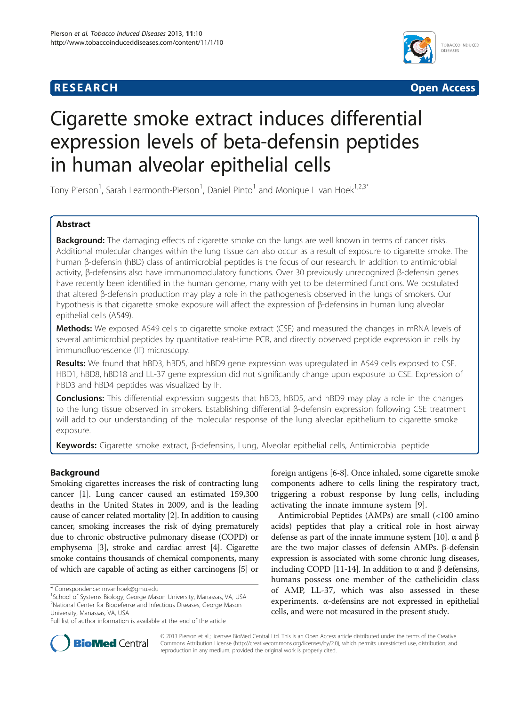

**RESEARCH RESEARCH** *CHECKER CHECKER CHECKER CHECKER CHECKER CHECKER CHECKER CHECKER CHECKER CHECKER CHECKER* 

# Cigarette smoke extract induces differential expression levels of beta-defensin peptides in human alveolar epithelial cells

Tony Pierson<sup>1</sup>, Sarah Learmonth-Pierson<sup>1</sup>, Daniel Pinto<sup>1</sup> and Monique L van Hoek<sup>1,2,3\*</sup>

# Abstract

Background: The damaging effects of cigarette smoke on the lungs are well known in terms of cancer risks. Additional molecular changes within the lung tissue can also occur as a result of exposure to cigarette smoke. The human β-defensin (hBD) class of antimicrobial peptides is the focus of our research. In addition to antimicrobial activity, β-defensins also have immunomodulatory functions. Over 30 previously unrecognized β-defensin genes have recently been identified in the human genome, many with yet to be determined functions. We postulated that altered β-defensin production may play a role in the pathogenesis observed in the lungs of smokers. Our hypothesis is that cigarette smoke exposure will affect the expression of β-defensins in human lung alveolar epithelial cells (A549).

Methods: We exposed A549 cells to cigarette smoke extract (CSE) and measured the changes in mRNA levels of several antimicrobial peptides by quantitative real-time PCR, and directly observed peptide expression in cells by immunofluorescence (IF) microscopy.

Results: We found that hBD3, hBD5, and hBD9 gene expression was upregulated in A549 cells exposed to CSE. HBD1, hBD8, hBD18 and LL-37 gene expression did not significantly change upon exposure to CSE. Expression of hBD3 and hBD4 peptides was visualized by IF.

**Conclusions:** This differential expression suggests that hBD3, hBD5, and hBD9 may play a role in the changes to the lung tissue observed in smokers. Establishing differential β-defensin expression following CSE treatment will add to our understanding of the molecular response of the lung alveolar epithelium to cigarette smoke exposure.

Keywords: Cigarette smoke extract, β-defensins, Lung, Alveolar epithelial cells, Antimicrobial peptide

# Background

Smoking cigarettes increases the risk of contracting lung cancer [[1\]](#page-6-0). Lung cancer caused an estimated 159,300 deaths in the United States in 2009, and is the leading cause of cancer related mortality [\[2](#page-6-0)]. In addition to causing cancer, smoking increases the risk of dying prematurely due to chronic obstructive pulmonary disease (COPD) or emphysema [\[3\]](#page-6-0), stroke and cardiac arrest [[4](#page-6-0)]. Cigarette smoke contains thousands of chemical components, many of which are capable of acting as either carcinogens [[5\]](#page-6-0) or

foreign antigens [[6-8](#page-6-0)]. Once inhaled, some cigarette smoke components adhere to cells lining the respiratory tract, triggering a robust response by lung cells, including activating the innate immune system [[9\]](#page-6-0).

Antimicrobial Peptides (AMPs) are small (<100 amino acids) peptides that play a critical role in host airway defense as part of the innate immune system [\[10\]](#page-6-0).  $\alpha$  and β are the two major classes of defensin AMPs. β-defensin expression is associated with some chronic lung diseases, including COPD [\[11-14](#page-6-0)]. In addition to α and β defensins, humans possess one member of the cathelicidin class of AMP, LL-37, which was also assessed in these experiments. α-defensins are not expressed in epithelial cells, and were not measured in the present study.



© 2013 Pierson et al.; licensee BioMed Central Ltd. This is an Open Access article distributed under the terms of the Creative Commons Attribution License [\(http://creativecommons.org/licenses/by/2.0\)](http://creativecommons.org/licenses/by/2.0), which permits unrestricted use, distribution, and reproduction in any medium, provided the original work is properly cited.

<sup>\*</sup> Correspondence: [mvanhoek@gmu.edu](mailto:mvanhoek@gmu.edu) <sup>1</sup>

<sup>&</sup>lt;sup>1</sup>School of Systems Biology, George Mason University, Manassas, VA, USA 2 National Center for Biodefense and Infectious Diseases, George Mason University, Manassas, VA, USA

Full list of author information is available at the end of the article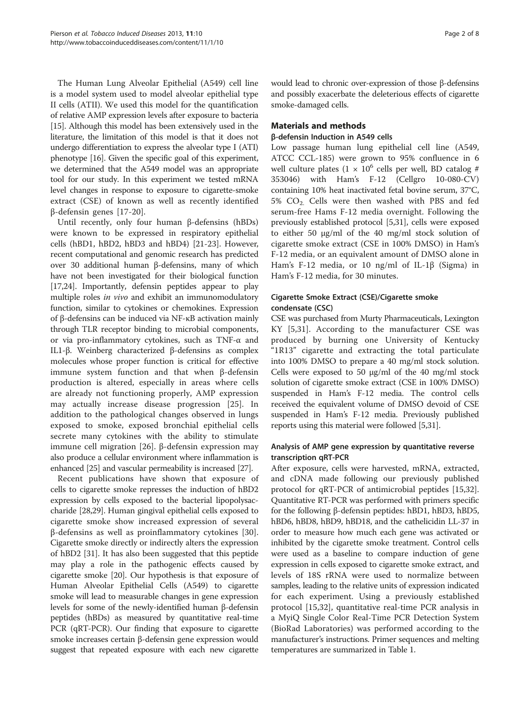The Human Lung Alveolar Epithelial (A549) cell line is a model system used to model alveolar epithelial type II cells (ATII). We used this model for the quantification of relative AMP expression levels after exposure to bacteria [[15](#page-6-0)]. Although this model has been extensively used in the literature, the limitation of this model is that it does not undergo differentiation to express the alveolar type I (ATI) phenotype [\[16\]](#page-6-0). Given the specific goal of this experiment, we determined that the A549 model was an appropriate tool for our study. In this experiment we tested mRNA level changes in response to exposure to cigarette-smoke extract (CSE) of known as well as recently identified β-defensin genes [[17-20](#page-6-0)].

Until recently, only four human β-defensins (hBDs) were known to be expressed in respiratory epithelial cells (hBD1, hBD2, hBD3 and hBD4) [[21-23](#page-6-0)]. However, recent computational and genomic research has predicted over 30 additional human β-defensins, many of which have not been investigated for their biological function [[17,24](#page-6-0)]. Importantly, defensin peptides appear to play multiple roles in vivo and exhibit an immunomodulatory function, similar to cytokines or chemokines. Expression of β-defensins can be induced via NF-κB activation mainly through TLR receptor binding to microbial components, or via pro-inflammatory cytokines, such as TNF-α and IL1-β. Weinberg characterized β-defensins as complex molecules whose proper function is critical for effective immune system function and that when β-defensin production is altered, especially in areas where cells are already not functioning properly, AMP expression may actually increase disease progression [[25\]](#page-6-0). In addition to the pathological changes observed in lungs exposed to smoke, exposed bronchial epithelial cells secrete many cytokines with the ability to stimulate immune cell migration [[26\]](#page-6-0). β-defensin expression may also produce a cellular environment where inflammation is enhanced [\[25\]](#page-6-0) and vascular permeability is increased [\[27](#page-6-0)].

Recent publications have shown that exposure of cells to cigarette smoke represses the induction of hBD2 expression by cells exposed to the bacterial lipopolysaccharide [\[28,29](#page-6-0)]. Human gingival epithelial cells exposed to cigarette smoke show increased expression of several β-defensins as well as proinflammatory cytokines [\[30](#page-6-0)]. Cigarette smoke directly or indirectly alters the expression of hBD2 [\[31\]](#page-6-0). It has also been suggested that this peptide may play a role in the pathogenic effects caused by cigarette smoke [[20](#page-6-0)]. Our hypothesis is that exposure of Human Alveolar Epithelial Cells (A549) to cigarette smoke will lead to measurable changes in gene expression levels for some of the newly-identified human β-defensin peptides (hBDs) as measured by quantitative real-time PCR (qRT-PCR). Our finding that exposure to cigarette smoke increases certain β-defensin gene expression would suggest that repeated exposure with each new cigarette

would lead to chronic over-expression of those β-defensins and possibly exacerbate the deleterious effects of cigarette smoke-damaged cells.

# Materials and methods

# β-defensin Induction in A549 cells

Low passage human lung epithelial cell line (A549, ATCC CCL-185) were grown to 95% confluence in 6 well culture plates  $(1 \times 10^6$  cells per well, BD catalog # 353046) with Ham's F-12 (Cellgro 10-080-CV) containing 10% heat inactivated fetal bovine serum, 37°C, 5%  $CO<sub>2</sub>$  Cells were then washed with PBS and fed serum-free Hams F-12 media overnight. Following the previously established protocol [\[5,31\]](#page-6-0), cells were exposed to either 50 μg/ml of the 40 mg/ml stock solution of cigarette smoke extract (CSE in 100% DMSO) in Ham's F-12 media, or an equivalent amount of DMSO alone in Ham's F-12 media, or 10 ng/ml of IL-1β (Sigma) in Ham's F-12 media, for 30 minutes.

# Cigarette Smoke Extract (CSE)/Cigarette smoke condensate (CSC)

CSE was purchased from Murty Pharmaceuticals, Lexington KY [[5,31\]](#page-6-0). According to the manufacturer CSE was produced by burning one University of Kentucky "1R13" cigarette and extracting the total particulate into 100% DMSO to prepare a 40 mg/ml stock solution. Cells were exposed to 50  $\mu$ g/ml of the 40 mg/ml stock solution of cigarette smoke extract (CSE in 100% DMSO) suspended in Ham's F-12 media. The control cells received the equivalent volume of DMSO devoid of CSE suspended in Ham's F-12 media. Previously published reports using this material were followed [\[5,31](#page-6-0)].

# Analysis of AMP gene expression by quantitative reverse transcription qRT-PCR

After exposure, cells were harvested, mRNA, extracted, and cDNA made following our previously published protocol for qRT-PCR of antimicrobial peptides [\[15,32](#page-6-0)]. Quantitative RT-PCR was performed with primers specific for the following β-defensin peptides: hBD1, hBD3, hBD5, hBD6, hBD8, hBD9, hBD18, and the cathelicidin LL-37 in order to measure how much each gene was activated or inhibited by the cigarette smoke treatment. Control cells were used as a baseline to compare induction of gene expression in cells exposed to cigarette smoke extract, and levels of 18S rRNA were used to normalize between samples, leading to the relative units of expression indicated for each experiment. Using a previously established protocol [[15,32\]](#page-6-0), quantitative real-time PCR analysis in a MyiQ Single Color Real-Time PCR Detection System (BioRad Laboratories) was performed according to the manufacturer's instructions. Primer sequences and melting temperatures are summarized in Table [1](#page-2-0).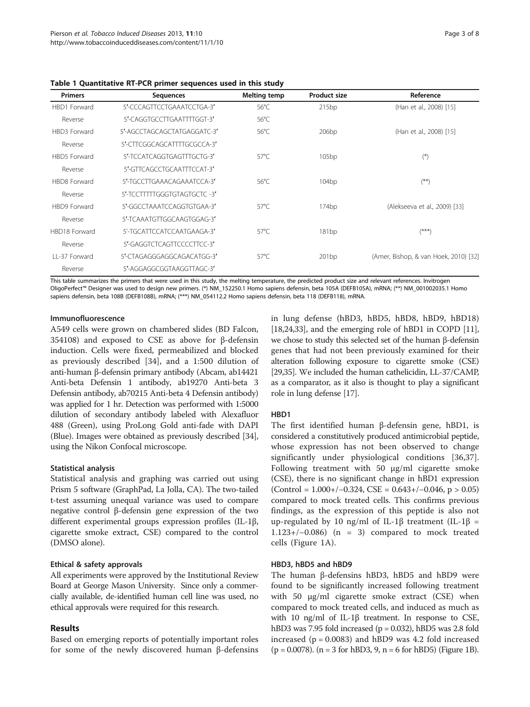| <b>Primers</b> | Sequences                    | <b>Melting temp</b> | Product size | Reference                             |
|----------------|------------------------------|---------------------|--------------|---------------------------------------|
| HBD1 Forward   | 5'-CCCAGTTCCTGAAATCCTGA-3'   | $56^{\circ}$ C      | 215bp        | (Han et al., 2008) [15]               |
| Reverse        | 5'-CAGGTGCCTTGAATTTTGGT-3'   | $56^{\circ}$ C      |              |                                       |
| HBD3 Forward   | 5'-AGCCTAGCAGCTATGAGGATC-3'  | $56^{\circ}$ C      | 206bp        | (Han et al., 2008) [15]               |
| Reverse        | 5'-CTTCGGCAGCATTTTGCGCCA-3'  |                     |              |                                       |
| HBD5 Forward   | 5'-TCCATCAGGTGAGTTTGCTG-3'   | $57^{\circ}$ C      | 105bp        | $(\ast)$                              |
| Reverse        | 5'-GTTCAGCCTGCAATTTCCAT-3'   |                     |              |                                       |
| HBD8 Forward   | 5'-TGCCTTGAAACAGAAATCCA-3'   | $56^{\circ}$ C      | 104bp        | $(**)$                                |
| Reverse        | 5'-TCCTTTTTGGGTGTAGTGCTC -3' |                     |              |                                       |
| HBD9 Forward   | 5'-GGCCTAAATCCAGGTGTGAA-3'   | $57^{\circ}$ C      | 174bp        | (Alekseeva et al., 2009) [33]         |
| Reverse        | 5'-TCAAATGTTGGCAAGTGGAG-3'   |                     |              |                                       |
| HBD18 Forward  | 5'-TGCATTCCATCCAATGAAGA-3'   | $57^{\circ}$ C      | 181bp        | $(***$                                |
| Reverse        | 5'-GAGGTCTCAGTTCCCCTTCC-3'   |                     |              |                                       |
| LL-37 Forward  | 5'-CTAGAGGGAGGCAGACATGG-3'   | $57^{\circ}$ C      | 201bp        | (Amer, Bishop, & van Hoek, 2010) [32] |
| Reverse        | 5'-AGGAGGCGGTAAGGTTAGC-3'    |                     |              |                                       |

### <span id="page-2-0"></span>Table 1 Quantitative RT-PCR primer sequences used in this study

This table summarizes the primers that were used in this study, the melting temperature, the predicted product size and relevant references. Invitrogen OligoPerfect™ Designer was used to design new primers. (\*) NM\_152250.1 Homo sapiens defensin, beta 105A (DEFB105A), mRNA; (\*\*) NM\_001002035.1 Homo sapiens defensin, beta 108B (DEFB108B), mRNA; (\*\*\*) NM\_054112.2 Homo sapiens defensin, beta 118 (DEFB118), mRNA.

### Immunofluorescence

A549 cells were grown on chambered slides (BD Falcon, 354108) and exposed to CSE as above for β-defensin induction. Cells were fixed, permeabilized and blocked as previously described [\[34](#page-6-0)], and a 1:500 dilution of anti-human β-defensin primary antibody (Abcam, ab14421 Anti-beta Defensin 1 antibody, ab19270 Anti-beta 3 Defensin antibody, ab70215 Anti-beta 4 Defensin antibody) was applied for 1 hr. Detection was performed with 1:5000 dilution of secondary antibody labeled with Alexafluor 488 (Green), using ProLong Gold anti-fade with DAPI (Blue). Images were obtained as previously described [[34](#page-6-0)], using the Nikon Confocal microscope.

#### Statistical analysis

Statistical analysis and graphing was carried out using Prism 5 software (GraphPad, La Jolla, CA). The two-tailed t-test assuming unequal variance was used to compare negative control β-defensin gene expression of the two different experimental groups expression profiles (IL-1β, cigarette smoke extract, CSE) compared to the control (DMSO alone).

### Ethical & safety approvals

All experiments were approved by the Institutional Review Board at George Mason University. Since only a commercially available, de-identified human cell line was used, no ethical approvals were required for this research.

#### Results

Based on emerging reports of potentially important roles for some of the newly discovered human β-defensins in lung defense (hBD3, hBD5, hBD8, hBD9, hBD18) [[18](#page-6-0),[24,33\]](#page-6-0), and the emerging role of hBD1 in COPD [[11](#page-6-0)], we chose to study this selected set of the human β-defensin genes that had not been previously examined for their alteration following exposure to cigarette smoke (CSE) [[29,35](#page-6-0)]. We included the human cathelicidin, LL-37/CAMP, as a comparator, as it also is thought to play a significant role in lung defense [\[17\]](#page-6-0).

# HBD1

The first identified human β-defensin gene, hBD1, is considered a constitutively produced antimicrobial peptide, whose expression has not been observed to change significantly under physiological conditions [[36,37](#page-6-0)]. Following treatment with 50  $\mu$ g/ml cigarette smoke (CSE), there is no significant change in hBD1 expression  $(Control = 1.000+/-0.324, CSE = 0.643+/-0.046, p > 0.05)$ compared to mock treated cells. This confirms previous findings, as the expression of this peptide is also not up-regulated by 10 ng/ml of IL-1β treatment (IL-1β = 1.123+/−0.086) (n = 3) compared to mock treated cells (Figure [1](#page-3-0)A).

#### HBD3, hBD5 and hBD9

The human β-defensins hBD3, hBD5 and hBD9 were found to be significantly increased following treatment with 50 μg/ml cigarette smoke extract (CSE) when compared to mock treated cells, and induced as much as with 10 ng/ml of IL-1β treatment. In response to CSE, hBD3 was 7.95 fold increased ( $p = 0.032$ ), hBD5 was 2.8 fold increased  $(p = 0.0083)$  and hBD9 was 4.2 fold increased  $(p = 0.0078)$ .  $(n = 3$  for hBD3, 9, n = 6 for hBD5) (Figure [1B](#page-3-0)).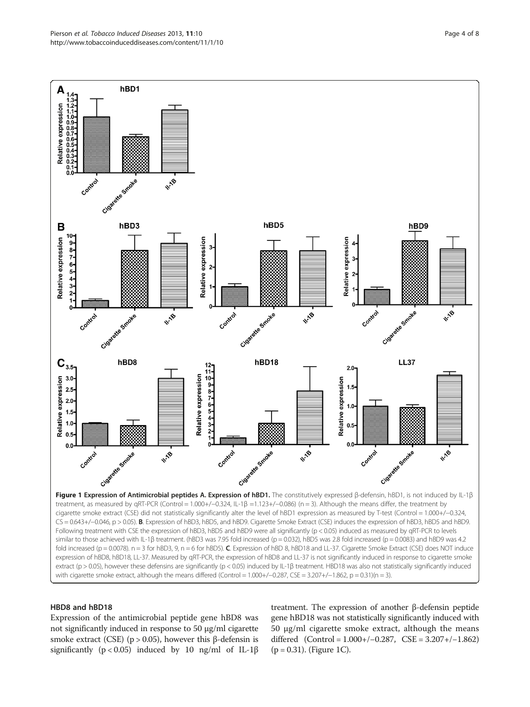<span id="page-3-0"></span>

# HBD8 and hBD18

Expression of the antimicrobial peptide gene hBD8 was not significantly induced in response to 50 μg/ml cigarette smoke extract (CSE) ( $p > 0.05$ ), however this β-defensin is significantly ( $p < 0.05$ ) induced by 10 ng/ml of IL-1 $\beta$ 

treatment. The expression of another β-defensin peptide gene hBD18 was not statistically significantly induced with 50 μg/ml cigarette smoke extract, although the means differed (Control = 1.000+/−0.287, CSE = 3.207+/−1.862)  $(p = 0.31)$ . (Figure 1C).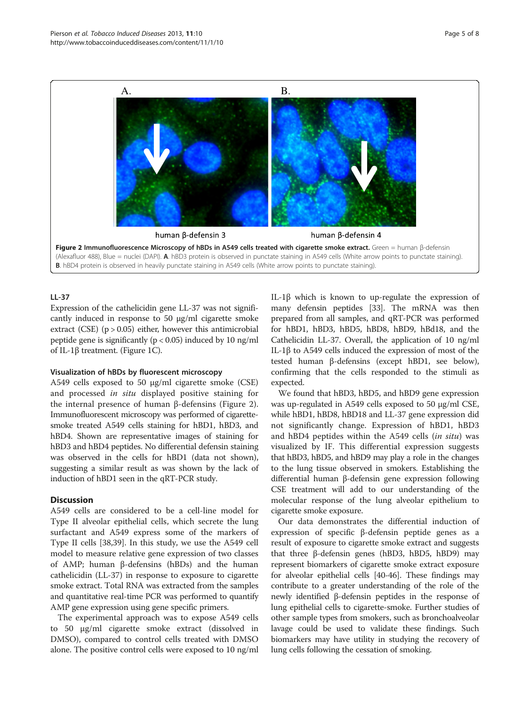

# LL-37

Expression of the cathelicidin gene LL-37 was not significantly induced in response to 50 μg/ml cigarette smoke extract (CSE) ( $p > 0.05$ ) either, however this antimicrobial peptide gene is significantly (p < 0.05) induced by 10 ng/ml of IL-1β treatment. (Figure [1C](#page-3-0)).

## Visualization of hBDs by fluorescent microscopy

A549 cells exposed to 50 μg/ml cigarette smoke (CSE) and processed in situ displayed positive staining for the internal presence of human β-defensins (Figure 2). Immunofluorescent microscopy was performed of cigarettesmoke treated A549 cells staining for hBD1, hBD3, and hBD4. Shown are representative images of staining for hBD3 and hBD4 peptides. No differential defensin staining was observed in the cells for hBD1 (data not shown), suggesting a similar result as was shown by the lack of induction of hBD1 seen in the qRT-PCR study.

# **Discussion**

A549 cells are considered to be a cell-line model for Type II alveolar epithelial cells, which secrete the lung surfactant and A549 express some of the markers of Type II cells [\[38,39\]](#page-6-0). In this study, we use the A549 cell model to measure relative gene expression of two classes of AMP; human β-defensins (hBDs) and the human cathelicidin (LL-37) in response to exposure to cigarette smoke extract. Total RNA was extracted from the samples and quantitative real-time PCR was performed to quantify AMP gene expression using gene specific primers.

The experimental approach was to expose A549 cells to 50 μg/ml cigarette smoke extract (dissolved in DMSO), compared to control cells treated with DMSO alone. The positive control cells were exposed to 10 ng/ml IL-1β which is known to up-regulate the expression of many defensin peptides [\[33\]](#page-6-0). The mRNA was then prepared from all samples, and qRT-PCR was performed for hBD1, hBD3, hBD5, hBD8, hBD9, hBd18, and the Cathelicidin LL-37. Overall, the application of 10 ng/ml IL-1β to A549 cells induced the expression of most of the tested human β-defensins (except hBD1, see below), confirming that the cells responded to the stimuli as expected.

We found that hBD3, hBD5, and hBD9 gene expression was up-regulated in A549 cells exposed to 50 μg/ml CSE, while hBD1, hBD8, hBD18 and LL-37 gene expression did not significantly change. Expression of hBD1, hBD3 and hBD4 peptides within the A549 cells (in situ) was visualized by IF. This differential expression suggests that hBD3, hBD5, and hBD9 may play a role in the changes to the lung tissue observed in smokers. Establishing the differential human β-defensin gene expression following CSE treatment will add to our understanding of the molecular response of the lung alveolar epithelium to cigarette smoke exposure.

Our data demonstrates the differential induction of expression of specific β-defensin peptide genes as a result of exposure to cigarette smoke extract and suggests that three β-defensin genes (hBD3, hBD5, hBD9) may represent biomarkers of cigarette smoke extract exposure for alveolar epithelial cells [\[40-46](#page-6-0)]. These findings may contribute to a greater understanding of the role of the newly identified β-defensin peptides in the response of lung epithelial cells to cigarette-smoke. Further studies of other sample types from smokers, such as bronchoalveolar lavage could be used to validate these findings. Such biomarkers may have utility in studying the recovery of lung cells following the cessation of smoking.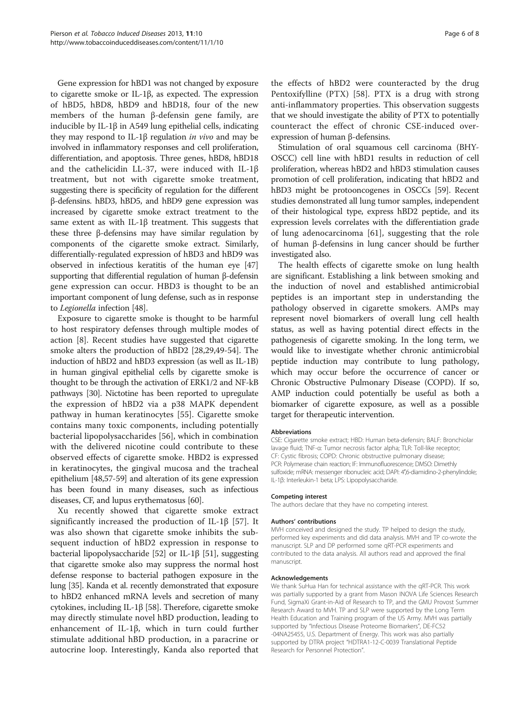Gene expression for hBD1 was not changed by exposure to cigarette smoke or IL-1β, as expected. The expression of hBD5, hBD8, hBD9 and hBD18, four of the new members of the human β-defensin gene family, are inducible by IL-1β in A549 lung epithelial cells, indicating they may respond to IL-1β regulation *in vivo* and may be involved in inflammatory responses and cell proliferation, differentiation, and apoptosis. Three genes, hBD8, hBD18 and the cathelicidin LL-37, were induced with IL-1β treatment, but not with cigarette smoke treatment, suggesting there is specificity of regulation for the different β-defensins. hBD3, hBD5, and hBD9 gene expression was increased by cigarette smoke extract treatment to the same extent as with IL-1β treatment. This suggests that these three β-defensins may have similar regulation by components of the cigarette smoke extract. Similarly, differentially-regulated expression of hBD3 and hBD9 was observed in infectious keratitis of the human eye [[47](#page-6-0)] supporting that differential regulation of human β-defensin gene expression can occur. HBD3 is thought to be an important component of lung defense, such as in response to Legionella infection [\[48\]](#page-6-0).

Exposure to cigarette smoke is thought to be harmful to host respiratory defenses through multiple modes of action [\[8](#page-6-0)]. Recent studies have suggested that cigarette smoke alters the production of hBD2 [\[28,29,49](#page-6-0)-[54\]](#page-7-0). The induction of hBD2 and hBD3 expression (as well as IL-1B) in human gingival epithelial cells by cigarette smoke is thought to be through the activation of ERK1/2 and NF-kB pathways [\[30\]](#page-6-0). Nictotine has been reported to upregulate the expression of hBD2 via a p38 MAPK dependent pathway in human keratinocytes [\[55](#page-7-0)]. Cigarette smoke contains many toxic components, including potentially bacterial lipopolysaccharides [[56\]](#page-7-0), which in combination with the delivered nicotine could contribute to these observed effects of cigarette smoke. HBD2 is expressed in keratinocytes, the gingival mucosa and the tracheal epithelium [\[48](#page-6-0)[,57-59\]](#page-7-0) and alteration of its gene expression has been found in many diseases, such as infectious diseases, CF, and lupus erythematosus [\[60\]](#page-7-0).

Xu recently showed that cigarette smoke extract significantly increased the production of IL-1 $\beta$  [\[57](#page-7-0)]. It was also shown that cigarette smoke inhibits the subsequent induction of hBD2 expression in response to bacterial lipopolysaccharide [\[52\]](#page-7-0) or IL-1β [[51](#page-7-0)], suggesting that cigarette smoke also may suppress the normal host defense response to bacterial pathogen exposure in the lung [[35](#page-6-0)]. Kanda et al. recently demonstrated that exposure to hBD2 enhanced mRNA levels and secretion of many cytokines, including IL-1β [\[58](#page-7-0)]. Therefore, cigarette smoke may directly stimulate novel hBD production, leading to enhancement of IL-1β, which in turn could further stimulate additional hBD production, in a paracrine or autocrine loop. Interestingly, Kanda also reported that the effects of hBD2 were counteracted by the drug Pentoxifylline (PTX) [\[58](#page-7-0)]. PTX is a drug with strong anti-inflammatory properties. This observation suggests that we should investigate the ability of PTX to potentially counteract the effect of chronic CSE-induced overexpression of human β-defensins.

Stimulation of oral squamous cell carcinoma (BHY-OSCC) cell line with hBD1 results in reduction of cell proliferation, whereas hBD2 and hBD3 stimulation causes promotion of cell proliferation, indicating that hBD2 and hBD3 might be protooncogenes in OSCCs [[59](#page-7-0)]. Recent studies demonstrated all lung tumor samples, independent of their histological type, express hBD2 peptide, and its expression levels correlates with the differentiation grade of lung adenocarcinoma [\[61](#page-7-0)], suggesting that the role of human β-defensins in lung cancer should be further investigated also.

The health effects of cigarette smoke on lung health are significant. Establishing a link between smoking and the induction of novel and established antimicrobial peptides is an important step in understanding the pathology observed in cigarette smokers. AMPs may represent novel biomarkers of overall lung cell health status, as well as having potential direct effects in the pathogenesis of cigarette smoking. In the long term, we would like to investigate whether chronic antimicrobial peptide induction may contribute to lung pathology, which may occur before the occurrence of cancer or Chronic Obstructive Pulmonary Disease (COPD). If so, AMP induction could potentially be useful as both a biomarker of cigarette exposure, as well as a possible target for therapeutic intervention.

#### Abbreviations

CSE: Cigarette smoke extract; HBD: Human beta-defensin; BALF: Bronchiolar lavage fluid; TNF-α: Tumor necrosis factor alpha; TLR: Toll-like receptor; CF: Cystic fibrosis; COPD: Chronic obstructive pulmonary disease; PCR: Polymerase chain reaction; IF: Immunofluorescence; DMSO: Dimethly sulfoxide; mRNA: messenger ribonucleic acid; DAPI: 4′,6-diamidino-2-phenylindole; IL-1β: Interleukin-1 beta; LPS: Lipopolysaccharide.

#### Competing interest

The authors declare that they have no competing interest.

#### Authors' contributions

MVH conceived and designed the study. TP helped to design the study, performed key experiments and did data analysis. MVH and TP co-wrote the manuscript. SLP and DP performed some qRT-PCR experiments and contributed to the data analysis. All authors read and approved the final manuscript.

#### Acknowledgements

We thank SuHua Han for technical assistance with the qRT-PCR. This work was partially supported by a grant from Mason INOVA Life Sciences Research Fund, SigmaXi Grant-in-Aid of Research to TP, and the GMU Provost Summer Research Award to MVH. TP and SLP were supported by the Long Term Health Education and Training program of the US Army. MVH was partially supported by "Infectious Disease Proteome Biomarkers", DE-FC52 -04NA25455, U.S. Department of Energy. This work was also partially supported by DTRA project "HDTRA1-12-C-0039 Translational Peptide Research for Personnel Protection".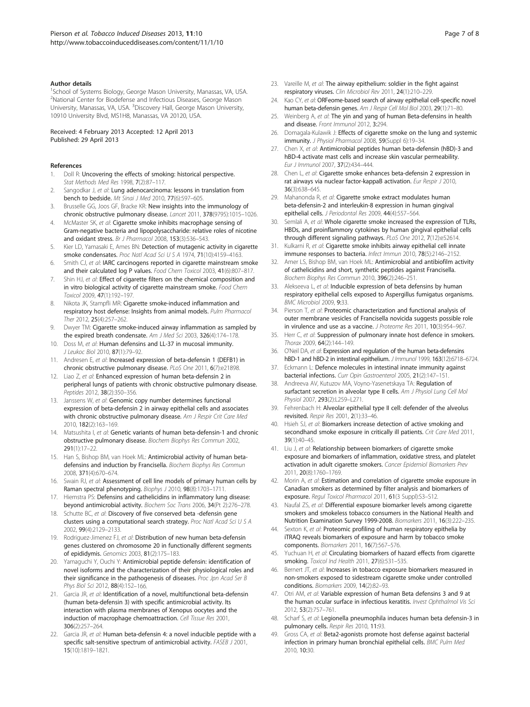#### <span id="page-6-0"></span>Author details

<sup>1</sup>School of Systems Biology, George Mason University, Manassas, VA, USA. <sup>2</sup>National Center for Biodefense and Infectious Diseases, George Mason University, Manassas, VA, USA. <sup>3</sup>Discovery Hall, George Mason University, 10910 University Blvd, MS1H8, Manassas, VA 20120, USA.

Received: 4 February 2013 Accepted: 12 April 2013 Published: 29 April 2013

#### References

- 1. Doll R: Uncovering the effects of smoking: historical perspective. Stat Methods Med Res 1998, 7(2):87–117.
- 2. Sangodkar J, et al: Lung adenocarcinoma: lessons in translation from bench to bedside. Mt Sinai J Med 2010, 77(6):597–605.
- 3. Brusselle GG, Joos GF, Bracke KR: New insights into the immunology of chronic obstructive pulmonary disease. Lancet 2011, 378(9795):1015–1026.
- 4. McMaster SK, et al: Cigarette smoke inhibits macrophage sensing of Gram-negative bacteria and lipopolysaccharide: relative roles of nicotine and oxidant stress. Br J Pharmacol 2008, 153(3):536–543.
- 5. Kier LD, Yamasaki E, Ames BN: Detection of mutagenic activity in cigarette smoke condensates. Proc Natl Acad Sci U S A 1974, 71(10):4159–4163.
- 6. Smith CJ, et al: IARC carcinogens reported in cigarette mainstream smoke and their calculated log P values. Food Chem Toxicol 2003, 41(6):807–817.
- 7. Shin HJ, et al: Effect of cigarette filters on the chemical composition and in vitro biological activity of cigarette mainstream smoke. Food Chem Toxicol 2009, 47(1):192–197.
- 8. Nikota JK, Stampfli MR: Cigarette smoke-induced inflammation and respiratory host defense: Insights from animal models. Pulm Pharmacol Ther 2012, 25(4):257–262.
- Dwyer TM: Cigarette smoke-induced airway inflammation as sampled by the expired breath condensate. Am J Med Sci 2003, 326(4):174-178.
- 10. Doss M, et al: Human defensins and LL-37 in mucosal immunity. J Leukoc Biol 2010, 87(1):79–92.
- 11. Andresen E, et al: Increased expression of beta-defensin 1 (DEFB1) in chronic obstructive pulmonary disease. PLoS One 2011, 6(7):e21898.
- 12. Liao Z, et al: Enhanced expression of human beta-defensin 2 in peripheral lungs of patients with chronic obstructive pulmonary disease. Peptides 2012, 38(2):350–356.
- 13. Janssens W, et al: Genomic copy number determines functional expression of beta-defensin 2 in airway epithelial cells and associates with chronic obstructive pulmonary disease. Am J Respir Crit Care Med 2010, 182(2):163–169.
- 14. Matsushita I, et al: Genetic variants of human beta-defensin-1 and chronic obstructive pulmonary disease. Biochem Biophys Res Commun 2002, 291(1):17–22.
- 15. Han S, Bishop BM, van Hoek ML: Antimicrobial activity of human betadefensins and induction by Francisella. Biochem Biophys Res Commun 2008, 371(4):670–674.
- 16. Swain RJ, et al: Assessment of cell line models of primary human cells by Raman spectral phenotyping. Biophys J 2010, 98(8):1703–1711.
- 17. Hiemstra PS: Defensins and cathelicidins in inflammatory lung disease: beyond antimicrobial activity. Biochem Soc Trans 2006, 34(Pt 2):276–278.
- 18. Schutte BC, et al: Discovery of five conserved beta -defensin gene clusters using a computational search strategy. Proc Natl Acad Sci U S A 2002, 99(4):2129–2133.
- 19. Rodriguez-Jimenez FJ, et al: Distribution of new human beta-defensin genes clustered on chromosome 20 in functionally different segments of epididymis. Genomics 2003, 81(2):175–183.
- 20. Yamaguchi Y, Ouchi Y: Antimicrobial peptide defensin: identification of novel isoforms and the characterization of their physiological roles and their significance in the pathogenesis of diseases. Proc Jpn Acad Ser B Phys Biol Sci 2012, 88(4):152–166.
- 21. Garcia JR, et al: Identification of a novel, multifunctional beta-defensin (human beta-defensin 3) with specific antimicrobial activity. Its interaction with plasma membranes of Xenopus oocytes and the induction of macrophage chemoattraction. Cell Tissue Res 2001, 306(2):257–264.
- 22. Garcia JR, et al: Human beta-defensin 4: a novel inducible peptide with a specific salt-sensitive spectrum of antimicrobial activity. FASEB J 2001, 15(10):1819–1821.
- 23. Vareille M, et al: The airway epithelium: soldier in the fight against respiratory viruses. Clin Microbiol Rev 2011, 24(1):210–229.
- 24. Kao CY, et al: ORFeome-based search of airway epithelial cell-specific novel human beta-defensin genes. Am J Respir Cell Mol Biol 2003, 29(1):71–80.
- 25. Weinberg A, et al: The yin and yang of human Beta-defensins in health and disease. Front Immunol 2012, 3:294.
- 26. Domagala-Kulawik J: Effects of cigarette smoke on the lung and systemic immunity. J Physiol Pharmacol 2008, 59(Suppl 6):19-34.
- 27. Chen X, et al: Antimicrobial peptides human beta-defensin (hBD)-3 and hBD-4 activate mast cells and increase skin vascular permeability. Eur J Immunol 2007, 37(2):434–444.
- 28. Chen L, et al: Cigarette smoke enhances beta-defensin 2 expression in rat airways via nuclear factor-kappaB activation. Eur Respir J 2010, 36(3):638–645.
- 29. Mahanonda R, et al: Cigarette smoke extract modulates human beta-defensin-2 and interleukin-8 expression in human gingival epithelial cells. J Periodontal Res 2009, 44(4):557–564.
- Semlali A, et al: Whole cigarette smoke increased the expression of TLRs, HBDs, and proinflammory cytokines by human gingival epithelial cells through different signaling pathways. PLoS One 2012, 7(12):e52614.
- 31. Kulkarni R, et al: Cigarette smoke inhibits airway epithelial cell innate immune responses to bacteria. Infect Immun 2010, 78(5):2146–2152.
- 32. Amer L.S. Bishop BM, van Hoek ML: Antimicrobial and antibiofilm activity of cathelicidins and short, synthetic peptides against Francisella. Biochem Biophys Res Commun 2010, 396(2):246–251.
- 33. Alekseeva L, et al: Inducible expression of beta defensins by human respiratory epithelial cells exposed to Aspergillus fumigatus organisms. BMC Microbiol 2009, 9:33.
- 34. Pierson T, et al: Proteomic characterization and functional analysis of outer membrane vesicles of Francisella novicida suggests possible role in virulence and use as a vaccine. J Proteome Res 2011, 10(3):954-967.
- 35. Herr C, et al: Suppression of pulmonary innate host defence in smokers. Thorax 2009, 64(2):144–149.
- 36. O'Neil DA, et al: Expression and regulation of the human beta-defensins hBD-1 and hBD-2 in intestinal epithelium. J Immunol 1999, 163(12):6718–6724.
- 37. Eckmann L: Defence molecules in intestinal innate immunity against bacterial infections. Curr Opin Gastroenterol 2005, 21(2):147–151.
- 38. Andreeva AV, Kutuzov MA, Voyno-Yasenetskaya TA: Regulation of surfactant secretion in alveolar type II cells. Am J Physiol Lung Cell Mol Physiol 2007, 293(2):L259–L271.
- 39. Fehrenbach H: Alveolar epithelial type II cell: defender of the alveolus revisited. Respir Res 2001, 2(1):33–46.
- 40. Hsieh SJ, et al: Biomarkers increase detection of active smoking and secondhand smoke exposure in critically ill patients. Crit Care Med 2011, 39(1):40–45.
- 41. Liu J, et al: Relationship between biomarkers of cigarette smoke exposure and biomarkers of inflammation, oxidative stress, and platelet activation in adult cigarette smokers. Cancer Epidemiol Biomarkers Prev 2011, 20(8):1760–1769.
- 42. Morin A, et al: Estimation and correlation of cigarette smoke exposure in Canadian smokers as determined by filter analysis and biomarkers of exposure. Regul Toxicol Pharmacol 2011, 61(3 Suppl):S3–S12.
- 43. Naufal ZS, et al: Differential exposure biomarker levels among cigarette smokers and smokeless tobacco consumers in the National Health and Nutrition Examination Survey 1999-2008. Biomarkers 2011, 16(3):222–235.
- 44. Sexton K, et al: Proteomic profiling of human respiratory epithelia by iTRAQ reveals biomarkers of exposure and harm by tobacco smoke components. Biomarkers 2011, 16(7):567–576.
- 45. Yuchuan H, et al: Circulating biomarkers of hazard effects from cigarette smoking. Toxicol Ind Health 2011, 27(6):531–535.
- 46. Bernert JT, et al: Increases in tobacco exposure biomarkers measured in non-smokers exposed to sidestream cigarette smoke under controlled conditions. Biomarkers 2009, 14(2):82–93.
- 47. Otri AM, et al: Variable expression of human Beta defensins 3 and 9 at the human ocular surface in infectious keratitis. Invest Ophthalmol Vis Sci 2012, 53(2):757–761.
- 48. Scharf S, et al: Legionella pneumophila induces human beta defensin-3 in pulmonary cells. Respir Res 2010, 11:93.
- 49. Gross CA, et al: Beta2-agonists promote host defense against bacterial infection in primary human bronchial epithelial cells. BMC Pulm Med 2010, 10:30.